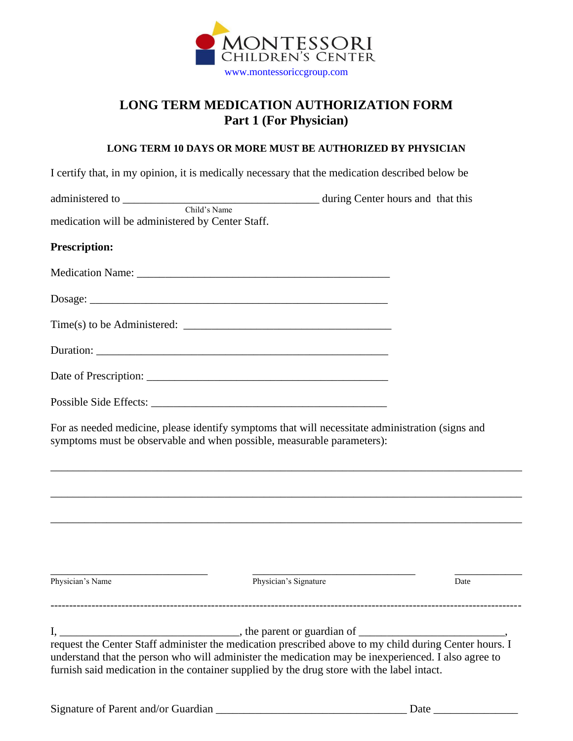

## **LONG TERM MEDICATION AUTHORIZATION FORM Part 1 (For Physician)**

## **LONG TERM 10 DAYS OR MORE MUST BE AUTHORIZED BY PHYSICIAN**

|                                                  | I certify that, in my opinion, it is medically necessary that the medication described below be                                                                                                   |      |  |  |
|--------------------------------------------------|---------------------------------------------------------------------------------------------------------------------------------------------------------------------------------------------------|------|--|--|
|                                                  |                                                                                                                                                                                                   |      |  |  |
| medication will be administered by Center Staff. |                                                                                                                                                                                                   |      |  |  |
| Prescription:                                    |                                                                                                                                                                                                   |      |  |  |
|                                                  |                                                                                                                                                                                                   |      |  |  |
|                                                  |                                                                                                                                                                                                   |      |  |  |
|                                                  |                                                                                                                                                                                                   |      |  |  |
|                                                  |                                                                                                                                                                                                   |      |  |  |
|                                                  |                                                                                                                                                                                                   |      |  |  |
|                                                  |                                                                                                                                                                                                   |      |  |  |
|                                                  | For as needed medicine, please identify symptoms that will necessitate administration (signs and<br>symptoms must be observable and when possible, measurable parameters):                        |      |  |  |
|                                                  | ,我们也不能在这里的时候,我们也不能在这里的时候,我们也不能会在这里的时候,我们也不能会在这里的时候,我们也不能会在这里的时候,我们也不能会在这里的时候,我们也不                                                                                                                 |      |  |  |
|                                                  | ,我们也不能在这里的时候,我们也不能在这里的时候,我们也不能会在这里的时候,我们也不能会在这里的时候,我们也不能会在这里的时候,我们也不能会在这里的时候,我们也不                                                                                                                 |      |  |  |
|                                                  | ,我们也不能在这里的时候,我们也不能在这里的时候,我们也不能会在这里的时候,我们也不能会在这里的时候,我们也不能会在这里的时候,我们也不能会在这里的时候,我们也不                                                                                                                 |      |  |  |
| Physician's Name                                 | Physician's Signature                                                                                                                                                                             | Date |  |  |
|                                                  |                                                                                                                                                                                                   |      |  |  |
|                                                  | understand that the person who will administer the medication may be inexperienced. I also agree to<br>furnish said medication in the container supplied by the drug store with the label intact. |      |  |  |
|                                                  |                                                                                                                                                                                                   |      |  |  |